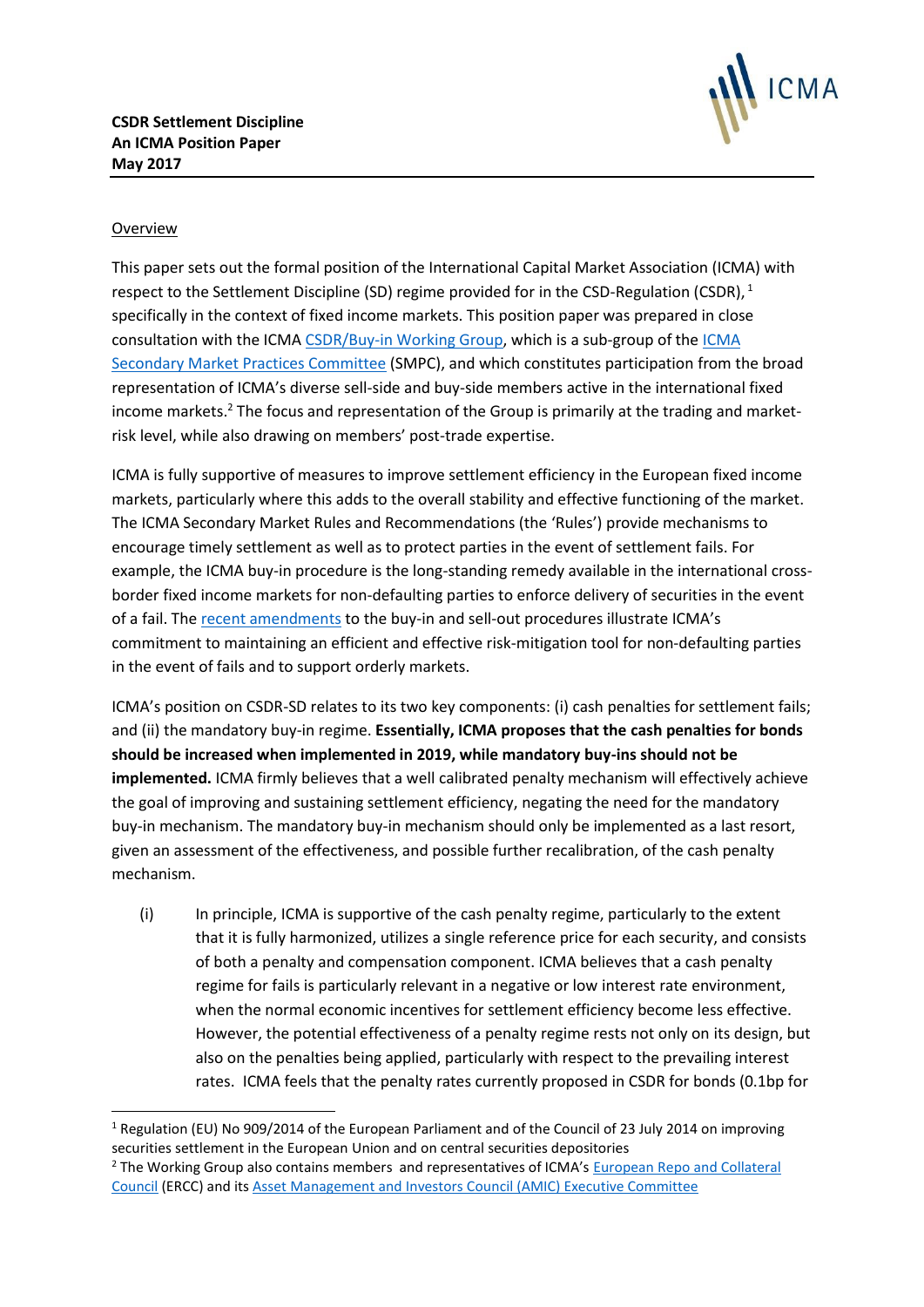

# Overview

1

This paper sets out the formal position of the International Capital Market Association (ICMA) with respect to the Settlement Discipline (SD) regime provided for in the CSD-Regulation (CSDR),  $^1$ specifically in the context of fixed income markets. This position paper was prepared in close consultation with the ICM[A CSDR/Buy-in Working Group,](http://www.icmagroup.org/Regulatory-Policy-and-Market-Practice/Secondary-Markets/secondary-market-practices-committee-smpc-and-related-working-groups/csdr-buy-ins-working-group/) which is a sub-group of th[e ICMA](http://www.icmagroup.org/Regulatory-Policy-and-Market-Practice/Secondary-Markets/secondary-market-practices-committee-smpc-and-related-working-groups/icma-smpc-and-terms-of-reference/)  [Secondary Market Practices Committee](http://www.icmagroup.org/Regulatory-Policy-and-Market-Practice/Secondary-Markets/secondary-market-practices-committee-smpc-and-related-working-groups/icma-smpc-and-terms-of-reference/) (SMPC), and which constitutes participation from the broad representation of ICMA's diverse sell-side and buy-side members active in the international fixed income markets.<sup>2</sup> The focus and representation of the Group is primarily at the trading and marketrisk level, while also drawing on members' post-trade expertise.

ICMA is fully supportive of measures to improve settlement efficiency in the European fixed income markets, particularly where this adds to the overall stability and effective functioning of the market. The ICMA Secondary Market Rules and Recommendations (the 'Rules') provide mechanisms to encourage timely settlement as well as to protect parties in the event of settlement fails. For example, the ICMA buy-in procedure is the long-standing remedy available in the international crossborder fixed income markets for non-defaulting parties to enforce delivery of securities in the event of a fail. Th[e recent amendments](http://www.icmagroup.org/Security/login?permissionsfailure=1&BackURL=%2Fassets%2Fdocuments%2FLegal%2FRulebook%2FICMA-Circular-No2-March-1-2017-re-buy-in-and-sell-out-010317.pdf) to the buy-in and sell-out procedures illustrate ICMA's commitment to maintaining an efficient and effective risk-mitigation tool for non-defaulting parties in the event of fails and to support orderly markets.

ICMA's position on CSDR-SD relates to its two key components: (i) cash penalties for settlement fails; and (ii) the mandatory buy-in regime. **Essentially, ICMA proposes that the cash penalties for bonds should be increased when implemented in 2019, while mandatory buy-ins should not be implemented.** ICMA firmly believes that a well calibrated penalty mechanism will effectively achieve the goal of improving and sustaining settlement efficiency, negating the need for the mandatory buy-in mechanism. The mandatory buy-in mechanism should only be implemented as a last resort, given an assessment of the effectiveness, and possible further recalibration, of the cash penalty mechanism.

(i) In principle, ICMA is supportive of the cash penalty regime, particularly to the extent that it is fully harmonized, utilizes a single reference price for each security, and consists of both a penalty and compensation component. ICMA believes that a cash penalty regime for fails is particularly relevant in a negative or low interest rate environment, when the normal economic incentives for settlement efficiency become less effective. However, the potential effectiveness of a penalty regime rests not only on its design, but also on the penalties being applied, particularly with respect to the prevailing interest rates. ICMA feels that the penalty rates currently proposed in CSDR for bonds (0.1bp for

<sup>&</sup>lt;sup>1</sup> Regulation (EU) No 909/2014 of the European Parliament and of the Council of 23 July 2014 on improving securities settlement in the European Union and on central securities depositories

<sup>&</sup>lt;sup>2</sup> The Working Group also contains members and representatives of ICMA's European Repo and Collateral [Council](http://www.icmagroup.org/Regulatory-Policy-and-Market-Practice/repo-and-collateral-markets/icma-european-repo-and-collateral-council/) (ERCC) and its [Asset Management and Investors Council \(AMIC\) Executive Committee](http://www.icmagroup.org/Regulatory-Policy-and-Market-Practice/Asset-Management/icma-amic-councils-and-committees/amic-executive-committee-composition/)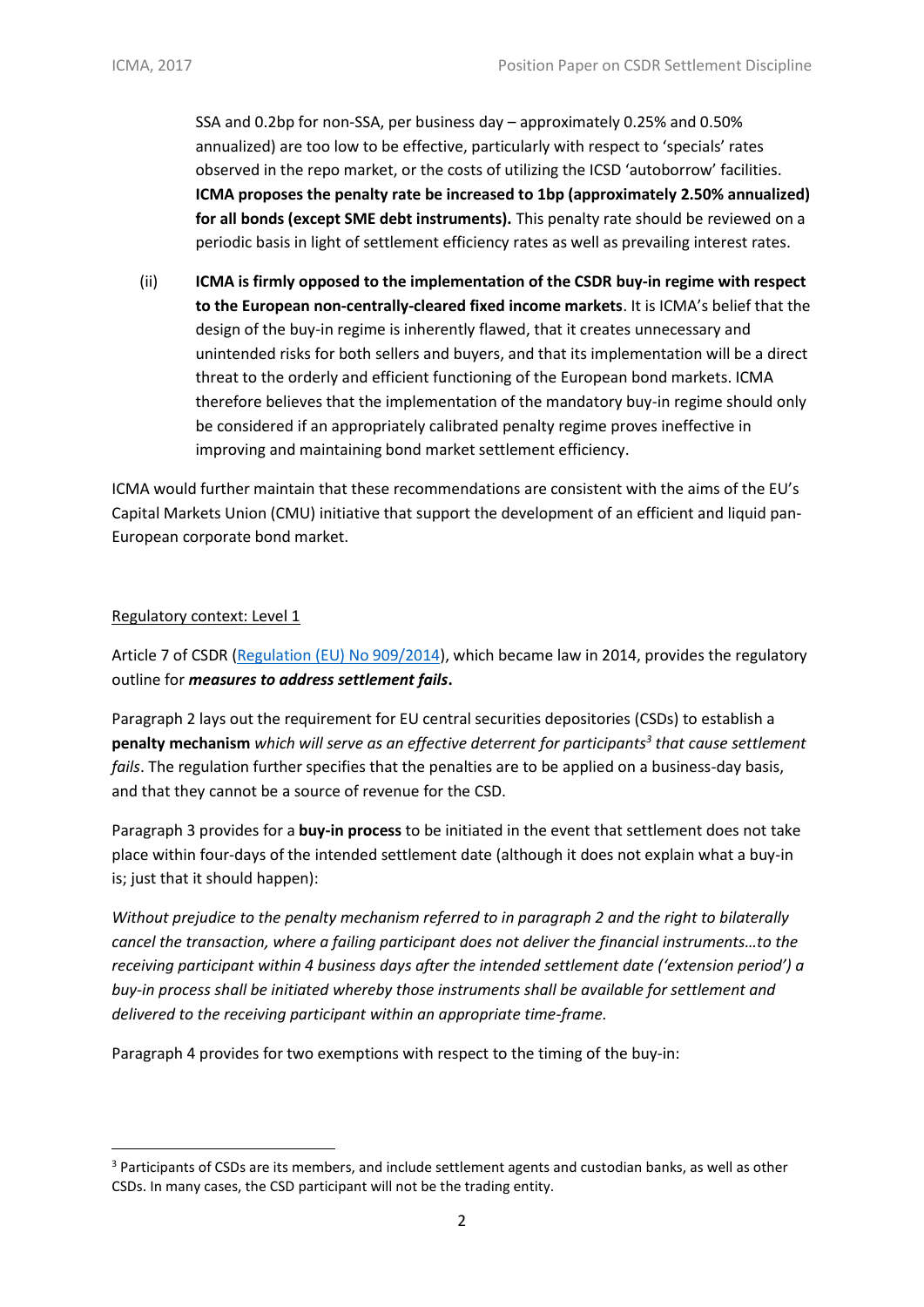SSA and 0.2bp for non-SSA, per business day – approximately 0.25% and 0.50% annualized) are too low to be effective, particularly with respect to 'specials' rates observed in the repo market, or the costs of utilizing the ICSD 'autoborrow' facilities. **ICMA proposes the penalty rate be increased to 1bp (approximately 2.50% annualized) for all bonds (except SME debt instruments).** This penalty rate should be reviewed on a periodic basis in light of settlement efficiency rates as well as prevailing interest rates.

(ii) **ICMA is firmly opposed to the implementation of the CSDR buy-in regime with respect to the European non-centrally-cleared fixed income markets**. It is ICMA's belief that the design of the buy-in regime is inherently flawed, that it creates unnecessary and unintended risks for both sellers and buyers, and that its implementation will be a direct threat to the orderly and efficient functioning of the European bond markets. ICMA therefore believes that the implementation of the mandatory buy-in regime should only be considered if an appropriately calibrated penalty regime proves ineffective in improving and maintaining bond market settlement efficiency.

ICMA would further maintain that these recommendations are consistent with the aims of the EU's Capital Markets Union (CMU) initiative that support the development of an efficient and liquid pan-European corporate bond market.

#### Regulatory context: Level 1

1

Article 7 of CSDR [\(Regulation \(EU\) No 909/2014\)](http://www.icmagroup.org/Regulatory-Policy-and-Market-Practice/Secondary-Markets/secondary-markets-regulation/csdr-settlement-discipline/), which became law in 2014, provides the regulatory outline for *measures to address settlement fails***.**

Paragraph 2 lays out the requirement for EU central securities depositories (CSDs) to establish a **penalty mechanism** *which will serve as an effective deterrent for participants<sup>3</sup> that cause settlement fails*. The regulation further specifies that the penalties are to be applied on a business-day basis, and that they cannot be a source of revenue for the CSD.

Paragraph 3 provides for a **buy-in process** to be initiated in the event that settlement does not take place within four-days of the intended settlement date (although it does not explain what a buy-in is; just that it should happen):

*Without prejudice to the penalty mechanism referred to in paragraph 2 and the right to bilaterally cancel the transaction, where a failing participant does not deliver the financial instruments…to the receiving participant within 4 business days after the intended settlement date ('extension period') a buy-in process shall be initiated whereby those instruments shall be available for settlement and delivered to the receiving participant within an appropriate time-frame.*

Paragraph 4 provides for two exemptions with respect to the timing of the buy-in:

<sup>&</sup>lt;sup>3</sup> Participants of CSDs are its members, and include settlement agents and custodian banks, as well as other CSDs. In many cases, the CSD participant will not be the trading entity.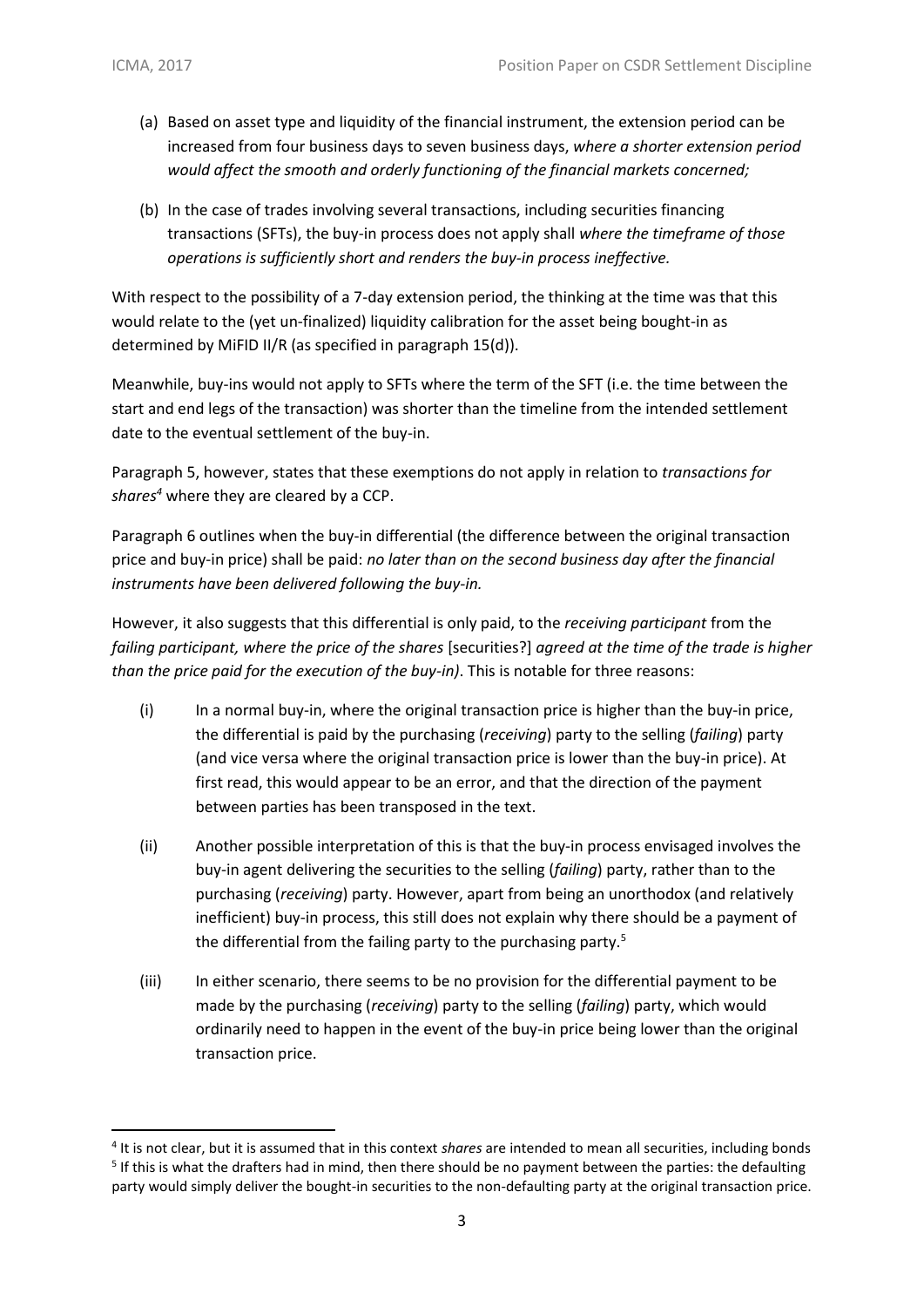**.** 

- (a) Based on asset type and liquidity of the financial instrument, the extension period can be increased from four business days to seven business days, *where a shorter extension period would affect the smooth and orderly functioning of the financial markets concerned;*
- (b) In the case of trades involving several transactions, including securities financing transactions (SFTs), the buy-in process does not apply shall *where the timeframe of those operations is sufficiently short and renders the buy-in process ineffective.*

With respect to the possibility of a 7-day extension period, the thinking at the time was that this would relate to the (yet un-finalized) liquidity calibration for the asset being bought-in as determined by MiFID II/R (as specified in paragraph 15(d)).

Meanwhile, buy-ins would not apply to SFTs where the term of the SFT (i.e. the time between the start and end legs of the transaction) was shorter than the timeline from the intended settlement date to the eventual settlement of the buy-in.

Paragraph 5, however, states that these exemptions do not apply in relation to *transactions for shares<sup>4</sup>* where they are cleared by a CCP.

Paragraph 6 outlines when the buy-in differential (the difference between the original transaction price and buy-in price) shall be paid: *no later than on the second business day after the financial instruments have been delivered following the buy-in.* 

However, it also suggests that this differential is only paid, to the *receiving participant* from the *failing participant, where the price of the shares* [securities?] *agreed at the time of the trade is higher than the price paid for the execution of the buy-in)*. This is notable for three reasons:

- $(i)$  In a normal buy-in, where the original transaction price is higher than the buy-in price, the differential is paid by the purchasing (*receiving*) party to the selling (*failing*) party (and vice versa where the original transaction price is lower than the buy-in price). At first read, this would appear to be an error, and that the direction of the payment between parties has been transposed in the text.
- (ii) Another possible interpretation of this is that the buy-in process envisaged involves the buy-in agent delivering the securities to the selling (*failing*) party, rather than to the purchasing (*receiving*) party. However, apart from being an unorthodox (and relatively inefficient) buy-in process, this still does not explain why there should be a payment of the differential from the failing party to the purchasing party. $5$
- (iii) In either scenario, there seems to be no provision for the differential payment to be made by the purchasing (*receiving*) party to the selling (*failing*) party, which would ordinarily need to happen in the event of the buy-in price being lower than the original transaction price.

<sup>4</sup> It is not clear, but it is assumed that in this context *shares* are intended to mean all securities, including bonds <sup>5</sup> If this is what the drafters had in mind, then there should be no payment between the parties: the defaulting party would simply deliver the bought-in securities to the non-defaulting party at the original transaction price.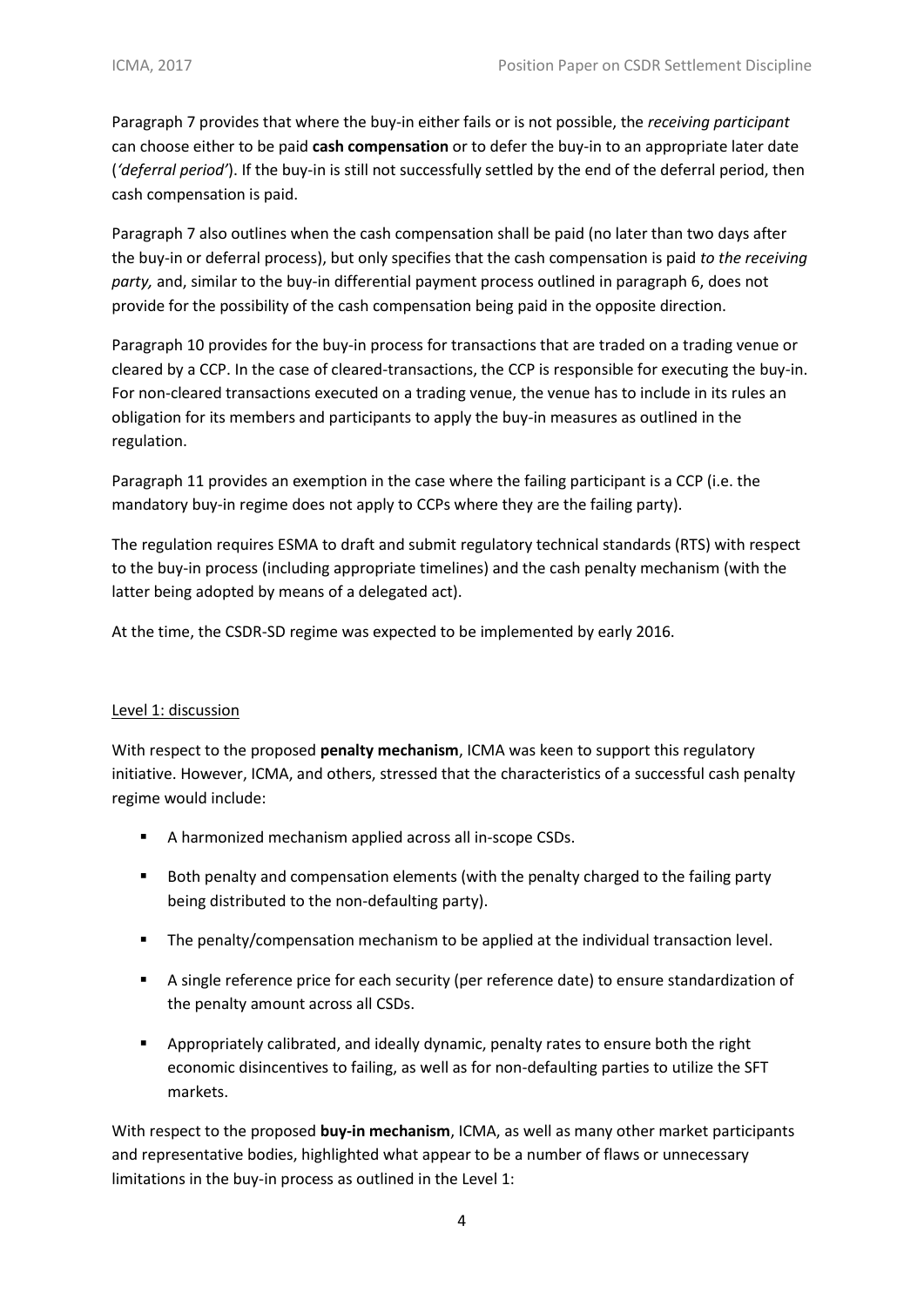Paragraph 7 provides that where the buy-in either fails or is not possible, the *receiving participant* can choose either to be paid **cash compensation** or to defer the buy-in to an appropriate later date (*'deferral period'*). If the buy-in is still not successfully settled by the end of the deferral period, then cash compensation is paid.

Paragraph 7 also outlines when the cash compensation shall be paid (no later than two days after the buy-in or deferral process), but only specifies that the cash compensation is paid *to the receiving party,* and, similar to the buy-in differential payment process outlined in paragraph 6, does not provide for the possibility of the cash compensation being paid in the opposite direction.

Paragraph 10 provides for the buy-in process for transactions that are traded on a trading venue or cleared by a CCP. In the case of cleared-transactions, the CCP is responsible for executing the buy-in. For non-cleared transactions executed on a trading venue, the venue has to include in its rules an obligation for its members and participants to apply the buy-in measures as outlined in the regulation.

Paragraph 11 provides an exemption in the case where the failing participant is a CCP (i.e. the mandatory buy-in regime does not apply to CCPs where they are the failing party).

The regulation requires ESMA to draft and submit regulatory technical standards (RTS) with respect to the buy-in process (including appropriate timelines) and the cash penalty mechanism (with the latter being adopted by means of a delegated act).

At the time, the CSDR-SD regime was expected to be implemented by early 2016.

## Level 1: discussion

With respect to the proposed **penalty mechanism**, ICMA was keen to support this regulatory initiative. However, ICMA, and others, stressed that the characteristics of a successful cash penalty regime would include:

- A harmonized mechanism applied across all in-scope CSDs.
- Both penalty and compensation elements (with the penalty charged to the failing party being distributed to the non-defaulting party).
- The penalty/compensation mechanism to be applied at the individual transaction level.
- **EXECUTE:** A single reference price for each security (per reference date) to ensure standardization of the penalty amount across all CSDs.
- Appropriately calibrated, and ideally dynamic, penalty rates to ensure both the right economic disincentives to failing, as well as for non-defaulting parties to utilize the SFT markets.

With respect to the proposed **buy-in mechanism**, ICMA, as well as many other market participants and representative bodies, highlighted what appear to be a number of flaws or unnecessary limitations in the buy-in process as outlined in the Level 1: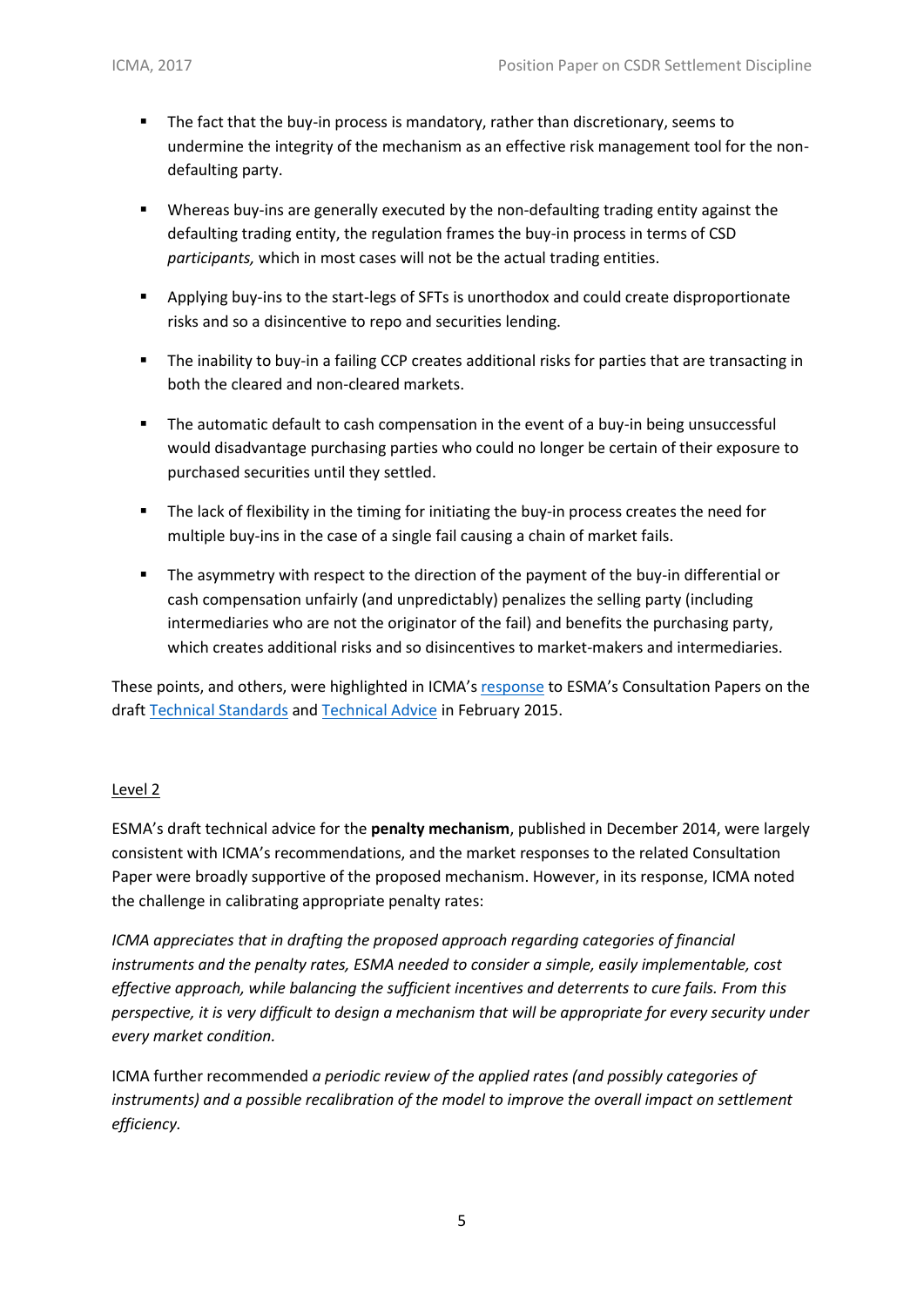- The fact that the buy-in process is mandatory, rather than discretionary, seems to undermine the integrity of the mechanism as an effective risk management tool for the nondefaulting party.
- Whereas buy-ins are generally executed by the non-defaulting trading entity against the defaulting trading entity, the regulation frames the buy-in process in terms of CSD *participants,* which in most cases will not be the actual trading entities.
- Applying buy-ins to the start-legs of SFTs is unorthodox and could create disproportionate risks and so a disincentive to repo and securities lending.
- The inability to buy-in a failing CCP creates additional risks for parties that are transacting in both the cleared and non-cleared markets.
- The automatic default to cash compensation in the event of a buy-in being unsuccessful would disadvantage purchasing parties who could no longer be certain of their exposure to purchased securities until they settled.
- **•** The lack of flexibility in the timing for initiating the buy-in process creates the need for multiple buy-ins in the case of a single fail causing a chain of market fails.
- **•** The asymmetry with respect to the direction of the payment of the buy-in differential or cash compensation unfairly (and unpredictably) penalizes the selling party (including intermediaries who are not the originator of the fail) and benefits the purchasing party, which creates additional risks and so disincentives to market-makers and intermediaries.

These points, and others, were highlighted in ICMA's [response](http://www.icmagroup.org/assets/documents/Regulatory/Secondary-markets/CSDR-Settlement-Regulation/ICMA-CSDR-Level-2-Consultation-Final-Response-190215.pdf) to ESMA's Consultation Papers on the draft [Technical Standards](http://www.esma.europa.eu/system/files/2014-1563_csdr_ts.pdf) an[d Technical Advice](https://www.esma.europa.eu/sites/default/files/library/2015/11/2014-1564_csdr_ta.pdf) in February 2015.

#### Level 2

ESMA's draft technical advice for the **penalty mechanism**, published in December 2014, were largely consistent with ICMA's recommendations, and the market responses to the related Consultation Paper were broadly supportive of the proposed mechanism. However, in its response, ICMA noted the challenge in calibrating appropriate penalty rates:

*ICMA appreciates that in drafting the proposed approach regarding categories of financial instruments and the penalty rates, ESMA needed to consider a simple, easily implementable, cost effective approach, while balancing the sufficient incentives and deterrents to cure fails. From this perspective, it is very difficult to design a mechanism that will be appropriate for every security under every market condition.*

ICMA further recommended *a periodic review of the applied rates (and possibly categories of*  instruments) and a possible recalibration of the model to improve the overall impact on settlement *efficiency.*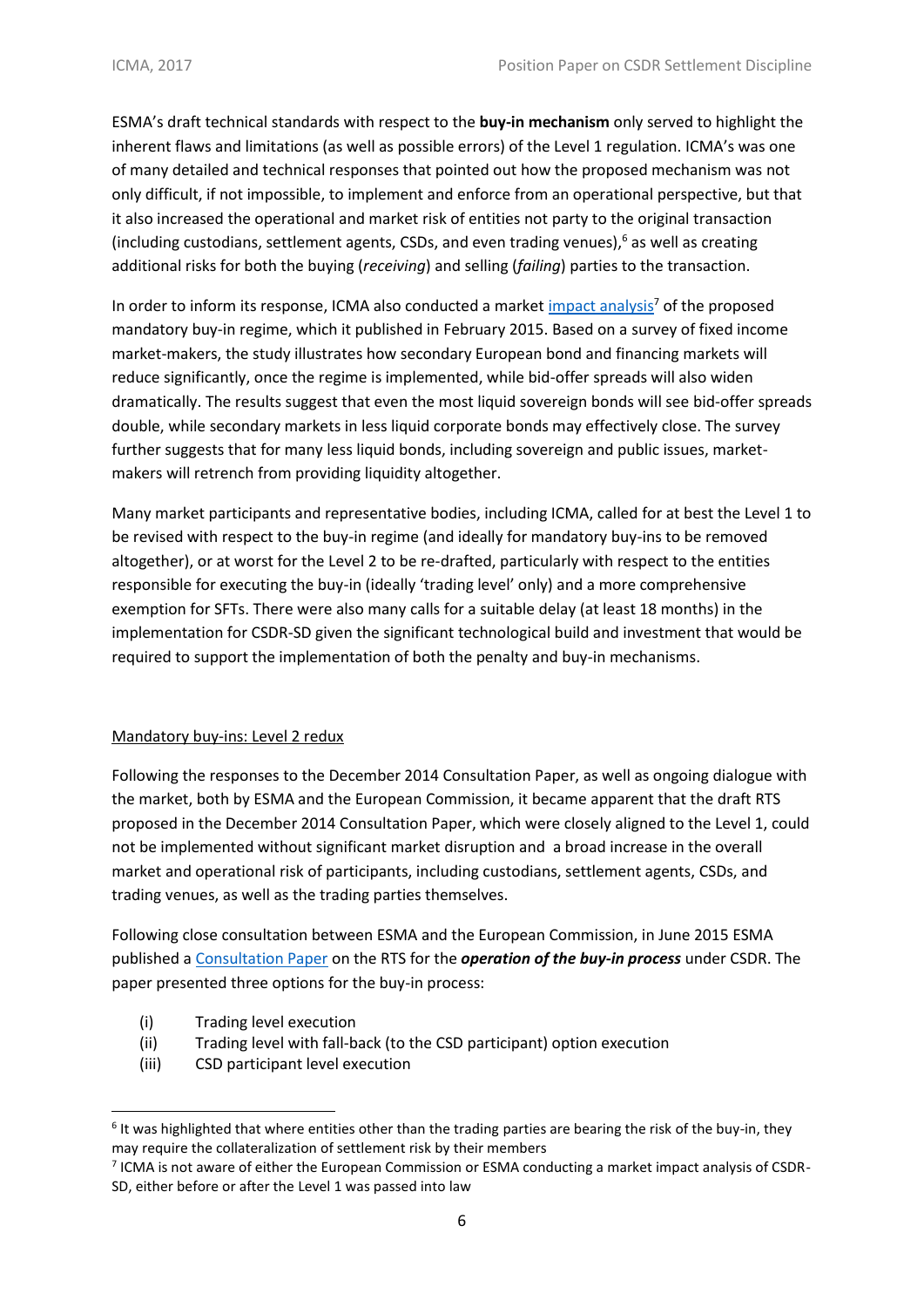ESMA's draft technical standards with respect to the **buy-in mechanism** only served to highlight the inherent flaws and limitations (as well as possible errors) of the Level 1 regulation. ICMA's was one of many detailed and technical responses that pointed out how the proposed mechanism was not only difficult, if not impossible, to implement and enforce from an operational perspective, but that it also increased the operational and market risk of entities not party to the original transaction (including custodians, settlement agents, CSDs, and even trading venues), $<sup>6</sup>$  as well as creating</sup> additional risks for both the buying (*receiving*) and selling (*failing*) parties to the transaction.

In order to inform its response, ICMA also conducted a market [impact analysis](http://www.icmagroup.org/assets/documents/Regulatory/Secondary-markets/CSDR-Settlement-Regulation/ICMA--CSDR-Mandatory-Buy-ins-Impact-Study_Final-240215.pdf)<sup>7</sup> of the proposed mandatory buy-in regime, which it published in February 2015. Based on a survey of fixed income market-makers, the study illustrates how secondary European bond and financing markets will reduce significantly, once the regime is implemented, while bid-offer spreads will also widen dramatically. The results suggest that even the most liquid sovereign bonds will see bid-offer spreads double, while secondary markets in less liquid corporate bonds may effectively close. The survey further suggests that for many less liquid bonds, including sovereign and public issues, marketmakers will retrench from providing liquidity altogether.

Many market participants and representative bodies, including ICMA, called for at best the Level 1 to be revised with respect to the buy-in regime (and ideally for mandatory buy-ins to be removed altogether), or at worst for the Level 2 to be re-drafted, particularly with respect to the entities responsible for executing the buy-in (ideally 'trading level' only) and a more comprehensive exemption for SFTs. There were also many calls for a suitable delay (at least 18 months) in the implementation for CSDR-SD given the significant technological build and investment that would be required to support the implementation of both the penalty and buy-in mechanisms.

## Mandatory buy-ins: Level 2 redux

Following the responses to the December 2014 Consultation Paper, as well as ongoing dialogue with the market, both by ESMA and the European Commission, it became apparent that the draft RTS proposed in the December 2014 Consultation Paper, which were closely aligned to the Level 1, could not be implemented without significant market disruption and a broad increase in the overall market and operational risk of participants, including custodians, settlement agents, CSDs, and trading venues, as well as the trading parties themselves.

Following close consultation between ESMA and the European Commission, in June 2015 ESMA published a [Consultation Paper](https://www.esma.europa.eu/sites/default/files/library/2015/11/2015-1065.pdf) on the RTS for the *operation of the buy-in process* under CSDR. The paper presented three options for the buy-in process:

(i) Trading level execution

1

- (ii) Trading level with fall-back (to the CSD participant) option execution
- (iii) CSD participant level execution

 $6$  It was highlighted that where entities other than the trading parties are bearing the risk of the buy-in, they may require the collateralization of settlement risk by their members

 $<sup>7</sup>$  ICMA is not aware of either the European Commission or ESMA conducting a market impact analysis of CSDR-</sup> SD, either before or after the Level 1 was passed into law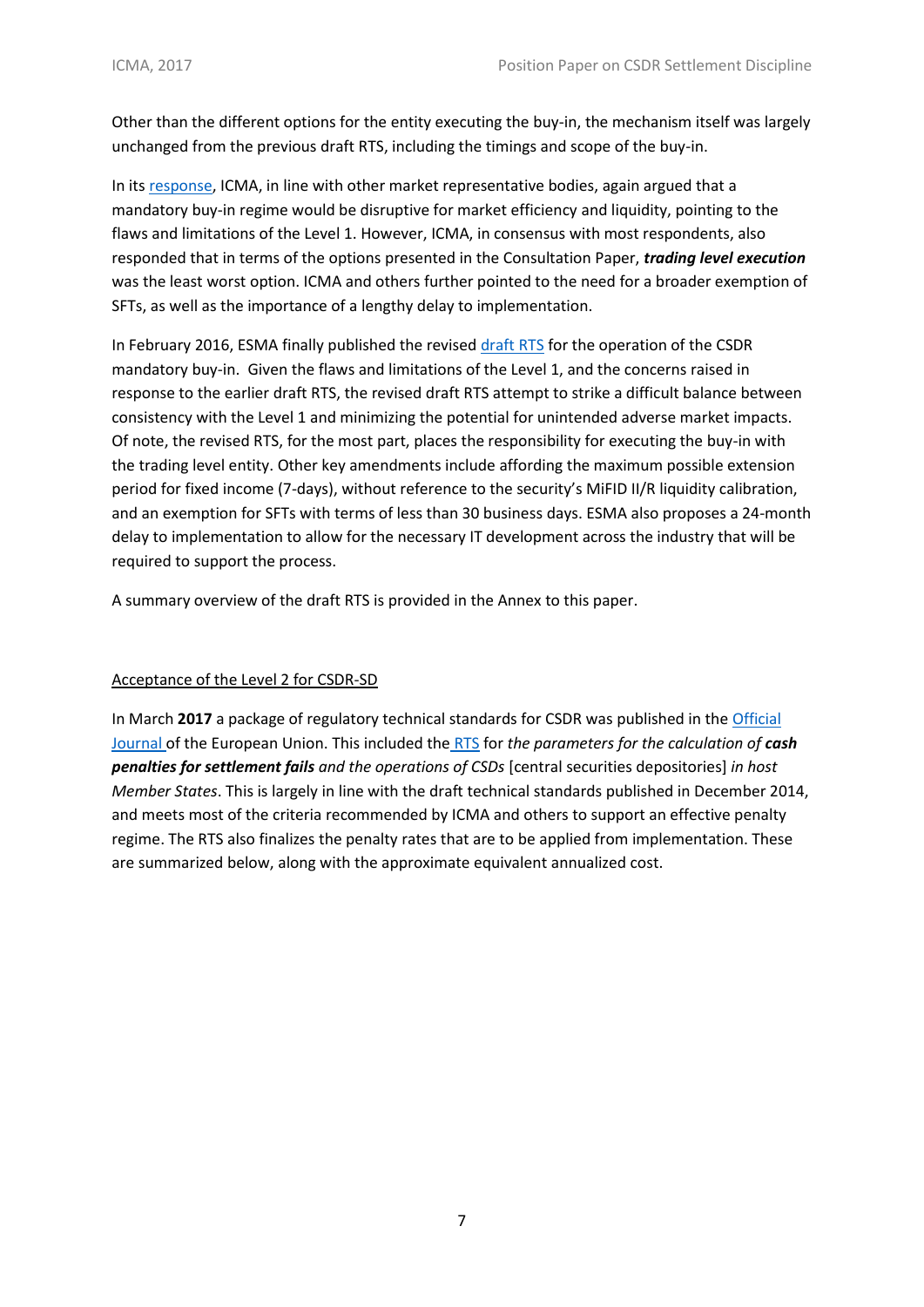Other than the different options for the entity executing the buy-in, the mechanism itself was largely unchanged from the previous draft RTS, including the timings and scope of the buy-in.

In its [response,](http://www.icmagroup.org/assets/documents/Regulatory/Secondary-markets/CSDR-Settlement-Regulation/ICMA-Response_ESMA-CSDR_CP_RTS_Operation-of-the-Buy-in_Final_080615.pdf) ICMA, in line with other market representative bodies, again argued that a mandatory buy-in regime would be disruptive for market efficiency and liquidity, pointing to the flaws and limitations of the Level 1. However, ICMA, in consensus with most respondents, also responded that in terms of the options presented in the Consultation Paper, *trading level execution* was the least worst option. ICMA and others further pointed to the need for a broader exemption of SFTs, as well as the importance of a lengthy delay to implementation.

In February 2016, ESMA finally published the revise[d draft RTS](https://www.esma.europa.eu/sites/default/files/library/2016-174_-_final_report_on_csdr_rts_on_settlement_discipline_0.pdf) for the operation of the CSDR mandatory buy-in. Given the flaws and limitations of the Level 1, and the concerns raised in response to the earlier draft RTS, the revised draft RTS attempt to strike a difficult balance between consistency with the Level 1 and minimizing the potential for unintended adverse market impacts. Of note, the revised RTS, for the most part, places the responsibility for executing the buy-in with the trading level entity. Other key amendments include affording the maximum possible extension period for fixed income (7-days), without reference to the security's MiFID II/R liquidity calibration, and an exemption for SFTs with terms of less than 30 business days. ESMA also proposes a 24-month delay to implementation to allow for the necessary IT development across the industry that will be required to support the process.

A summary overview of the draft RTS is provided in the Annex to this paper.

## Acceptance of the Level 2 for CSDR-SD

In March **2017** a package of regulatory technical standards for CSDR was published in the [Official](http://eur-lex.europa.eu/legal-content/EN/TXT/PDF/?uri=OJ:L:2017:065:FULL&from=EN)  [Journal](http://eur-lex.europa.eu/legal-content/EN/TXT/PDF/?uri=OJ:L:2017:065:FULL&from=EN) of the European Union. This included the [RTS](http://www.icmagroup.org/assets/documents/Regulatory/Secondary-markets/CSDR-RTS-OJ-Cash-Penalties-March-10-2017-200317.pdf) for *the parameters for the calculation of cash penalties for settlement fails and the operations of CSDs* [central securities depositories] *in host Member States*. This is largely in line with the draft technical standards published in December 2014, and meets most of the criteria recommended by ICMA and others to support an effective penalty regime. The RTS also finalizes the penalty rates that are to be applied from implementation. These are summarized below, along with the approximate equivalent annualized cost.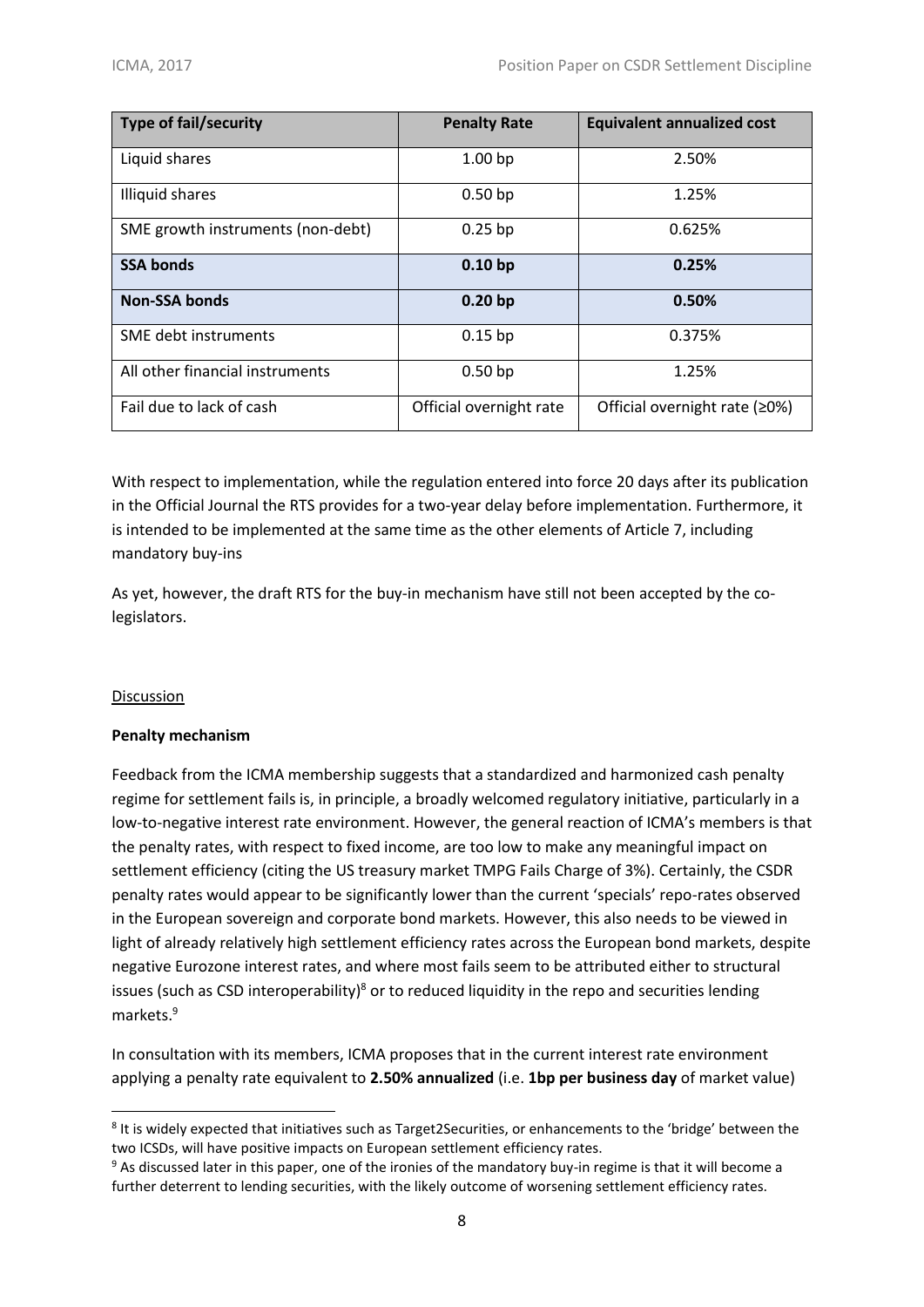| <b>Type of fail/security</b>      | <b>Penalty Rate</b>     | <b>Equivalent annualized cost</b> |
|-----------------------------------|-------------------------|-----------------------------------|
| Liquid shares                     | 1.00 <sub>bp</sub>      | 2.50%                             |
| Illiquid shares                   | 0.50 <sub>bp</sub>      | 1.25%                             |
| SME growth instruments (non-debt) | $0.25$ bp               | 0.625%                            |
| <b>SSA bonds</b>                  | 0.10 <sub>bp</sub>      | 0.25%                             |
| <b>Non-SSA bonds</b>              | 0.20 <sub>bp</sub>      | 0.50%                             |
| SME debt instruments              | $0.15$ bp               | 0.375%                            |
| All other financial instruments   | 0.50 <sub>bp</sub>      | 1.25%                             |
| Fail due to lack of cash          | Official overnight rate | Official overnight rate (≥0%)     |

With respect to implementation, while the regulation entered into force 20 days after its publication in the Official Journal the RTS provides for a two-year delay before implementation. Furthermore, it is intended to be implemented at the same time as the other elements of Article 7, including mandatory buy-ins

As yet, however, the draft RTS for the buy-in mechanism have still not been accepted by the colegislators.

## Discussion

1

## **Penalty mechanism**

Feedback from the ICMA membership suggests that a standardized and harmonized cash penalty regime for settlement fails is, in principle, a broadly welcomed regulatory initiative, particularly in a low-to-negative interest rate environment. However, the general reaction of ICMA's members is that the penalty rates, with respect to fixed income, are too low to make any meaningful impact on settlement efficiency (citing the US treasury market TMPG Fails Charge of 3%). Certainly, the CSDR penalty rates would appear to be significantly lower than the current 'specials' repo-rates observed in the European sovereign and corporate bond markets. However, this also needs to be viewed in light of already relatively high settlement efficiency rates across the European bond markets, despite negative Eurozone interest rates, and where most fails seem to be attributed either to structural issues (such as CSD interoperability)<sup>8</sup> or to reduced liquidity in the repo and securities lending markets.<sup>9</sup>

In consultation with its members, ICMA proposes that in the current interest rate environment applying a penalty rate equivalent to **2.50% annualized** (i.e. **1bp per business day** of market value)

<sup>&</sup>lt;sup>8</sup> It is widely expected that initiatives such as Target2Securities, or enhancements to the 'bridge' between the two ICSDs, will have positive impacts on European settlement efficiency rates.

<sup>9</sup> As discussed later in this paper, one of the ironies of the mandatory buy-in regime is that it will become a further deterrent to lending securities, with the likely outcome of worsening settlement efficiency rates.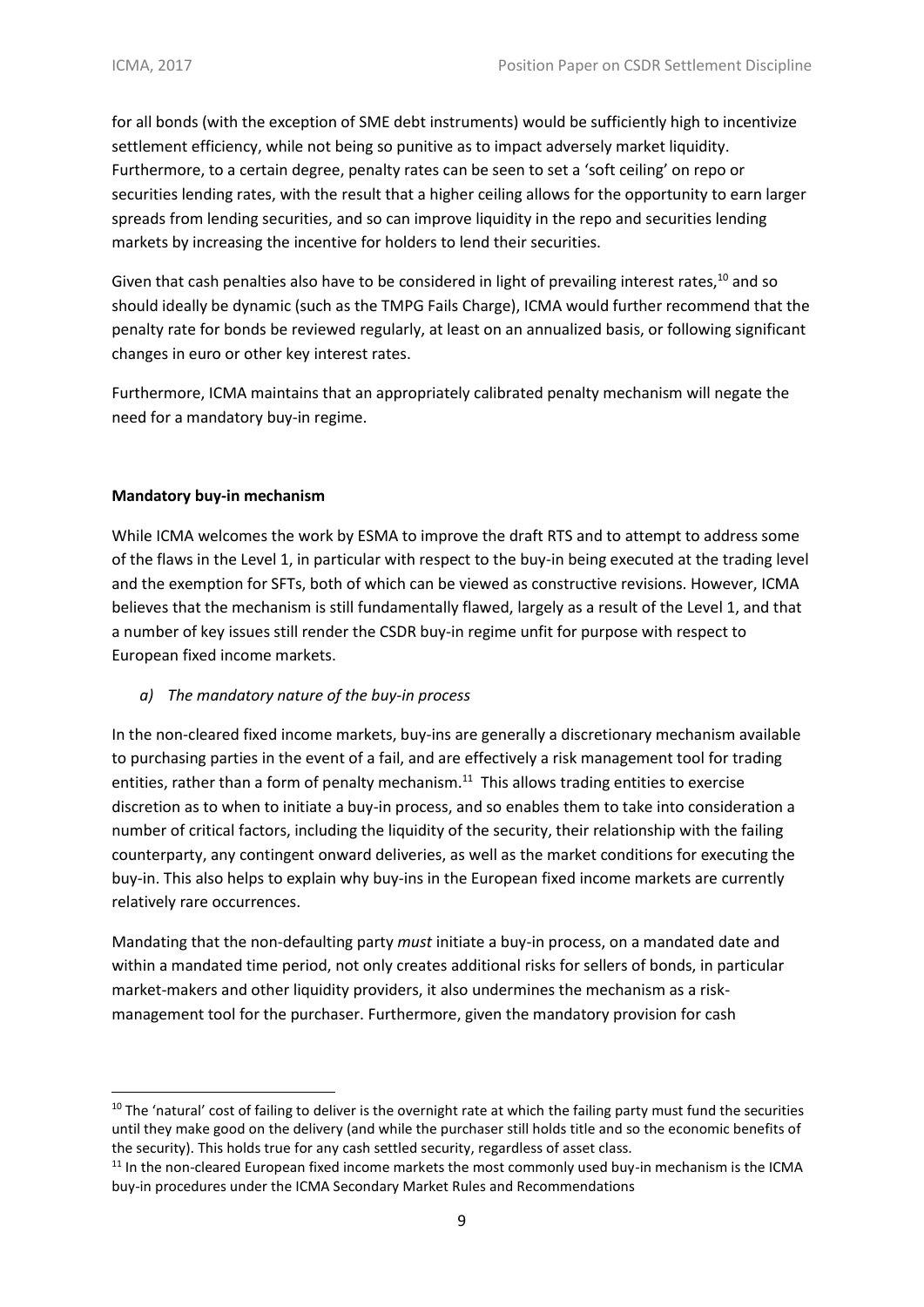for all bonds (with the exception of SME debt instruments) would be sufficiently high to incentivize settlement efficiency, while not being so punitive as to impact adversely market liquidity. Furthermore, to a certain degree, penalty rates can be seen to set a 'soft ceiling' on repo or securities lending rates, with the result that a higher ceiling allows for the opportunity to earn larger spreads from lending securities, and so can improve liquidity in the repo and securities lending markets by increasing the incentive for holders to lend their securities.

Given that cash penalties also have to be considered in light of prevailing interest rates,<sup>10</sup> and so should ideally be dynamic (such as the TMPG Fails Charge), ICMA would further recommend that the penalty rate for bonds be reviewed regularly, at least on an annualized basis, or following significant changes in euro or other key interest rates.

Furthermore, ICMA maintains that an appropriately calibrated penalty mechanism will negate the need for a mandatory buy-in regime.

## **Mandatory buy-in mechanism**

**.** 

While ICMA welcomes the work by ESMA to improve the draft RTS and to attempt to address some of the flaws in the Level 1, in particular with respect to the buy-in being executed at the trading level and the exemption for SFTs, both of which can be viewed as constructive revisions. However, ICMA believes that the mechanism is still fundamentally flawed, largely as a result of the Level 1, and that a number of key issues still render the CSDR buy-in regime unfit for purpose with respect to European fixed income markets.

## *a) The mandatory nature of the buy-in process*

In the non-cleared fixed income markets, buy-ins are generally a discretionary mechanism available to purchasing parties in the event of a fail, and are effectively a risk management tool for trading entities, rather than a form of penalty mechanism.<sup>11</sup> This allows trading entities to exercise discretion as to when to initiate a buy-in process, and so enables them to take into consideration a number of critical factors, including the liquidity of the security, their relationship with the failing counterparty, any contingent onward deliveries, as well as the market conditions for executing the buy-in. This also helps to explain why buy-ins in the European fixed income markets are currently relatively rare occurrences.

Mandating that the non-defaulting party *must* initiate a buy-in process, on a mandated date and within a mandated time period, not only creates additional risks for sellers of bonds, in particular market-makers and other liquidity providers, it also undermines the mechanism as a riskmanagement tool for the purchaser. Furthermore, given the mandatory provision for cash

<sup>&</sup>lt;sup>10</sup> The 'natural' cost of failing to deliver is the overnight rate at which the failing party must fund the securities until they make good on the delivery (and while the purchaser still holds title and so the economic benefits of the security). This holds true for any cash settled security, regardless of asset class.

<sup>&</sup>lt;sup>11</sup> In the non-cleared European fixed income markets the most commonly used buy-in mechanism is the ICMA buy-in procedures under the ICMA Secondary Market Rules and Recommendations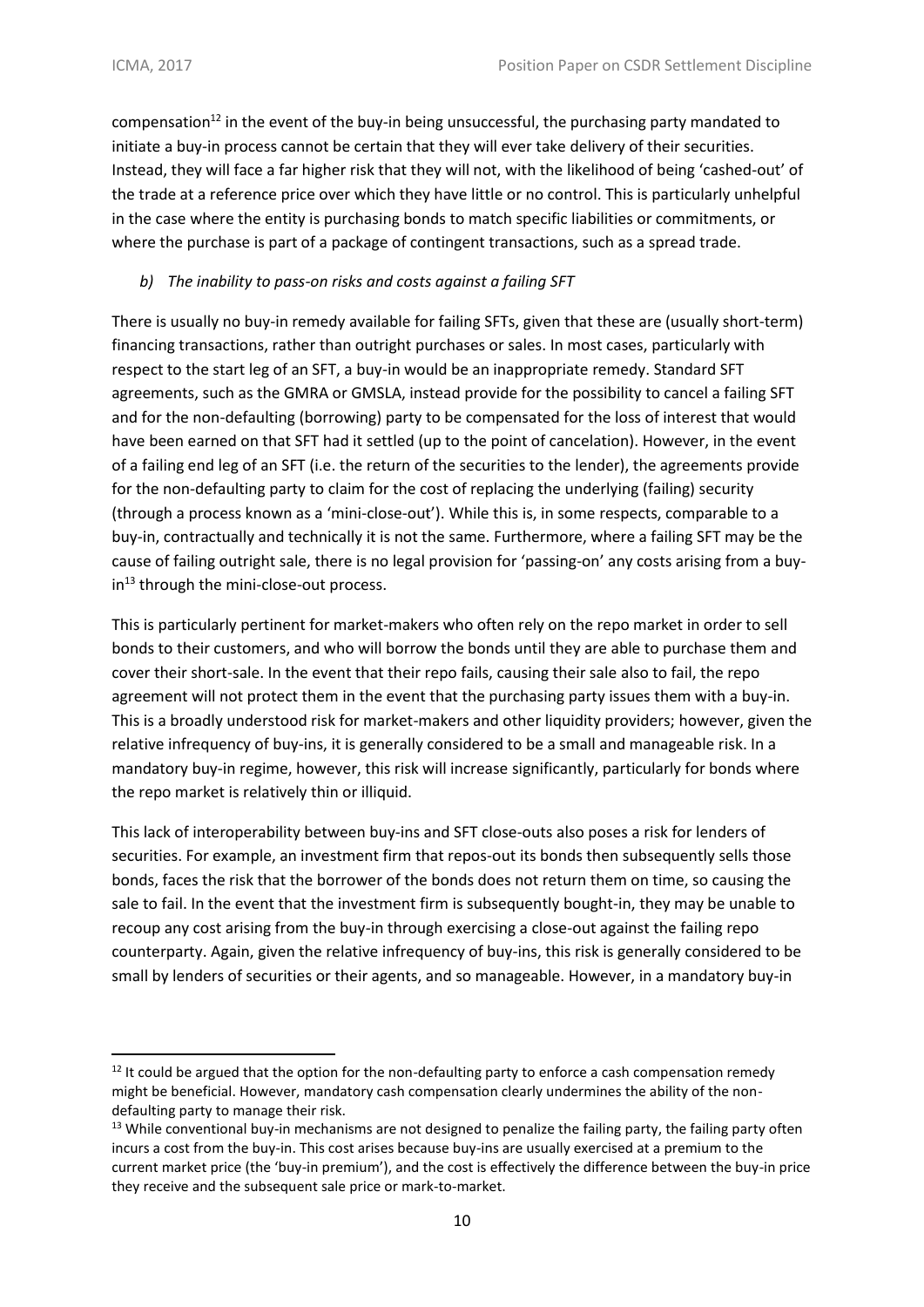**.** 

compensation<sup>12</sup> in the event of the buy-in being unsuccessful, the purchasing party mandated to initiate a buy-in process cannot be certain that they will ever take delivery of their securities. Instead, they will face a far higher risk that they will not, with the likelihood of being 'cashed-out' of the trade at a reference price over which they have little or no control. This is particularly unhelpful in the case where the entity is purchasing bonds to match specific liabilities or commitments, or where the purchase is part of a package of contingent transactions, such as a spread trade.

## *b) The inability to pass-on risks and costs against a failing SFT*

There is usually no buy-in remedy available for failing SFTs, given that these are (usually short-term) financing transactions, rather than outright purchases or sales. In most cases, particularly with respect to the start leg of an SFT, a buy-in would be an inappropriate remedy. Standard SFT agreements, such as the GMRA or GMSLA, instead provide for the possibility to cancel a failing SFT and for the non-defaulting (borrowing) party to be compensated for the loss of interest that would have been earned on that SFT had it settled (up to the point of cancelation). However, in the event of a failing end leg of an SFT (i.e. the return of the securities to the lender), the agreements provide for the non-defaulting party to claim for the cost of replacing the underlying (failing) security (through a process known as a 'mini-close-out'). While this is, in some respects, comparable to a buy-in, contractually and technically it is not the same. Furthermore, where a failing SFT may be the cause of failing outright sale, there is no legal provision for 'passing-on' any costs arising from a buy $in<sup>13</sup>$  through the mini-close-out process.

This is particularly pertinent for market-makers who often rely on the repo market in order to sell bonds to their customers, and who will borrow the bonds until they are able to purchase them and cover their short-sale. In the event that their repo fails, causing their sale also to fail, the repo agreement will not protect them in the event that the purchasing party issues them with a buy-in. This is a broadly understood risk for market-makers and other liquidity providers; however, given the relative infrequency of buy-ins, it is generally considered to be a small and manageable risk. In a mandatory buy-in regime, however, this risk will increase significantly, particularly for bonds where the repo market is relatively thin or illiquid.

This lack of interoperability between buy-ins and SFT close-outs also poses a risk for lenders of securities. For example, an investment firm that repos-out its bonds then subsequently sells those bonds, faces the risk that the borrower of the bonds does not return them on time, so causing the sale to fail. In the event that the investment firm is subsequently bought-in, they may be unable to recoup any cost arising from the buy-in through exercising a close-out against the failing repo counterparty. Again, given the relative infrequency of buy-ins, this risk is generally considered to be small by lenders of securities or their agents, and so manageable. However, in a mandatory buy-in

 $12$  It could be argued that the option for the non-defaulting party to enforce a cash compensation remedy might be beneficial. However, mandatory cash compensation clearly undermines the ability of the nondefaulting party to manage their risk.

 $13$  While conventional buy-in mechanisms are not designed to penalize the failing party, the failing party often incurs a cost from the buy-in. This cost arises because buy-ins are usually exercised at a premium to the current market price (the 'buy-in premium'), and the cost is effectively the difference between the buy-in price they receive and the subsequent sale price or mark-to-market.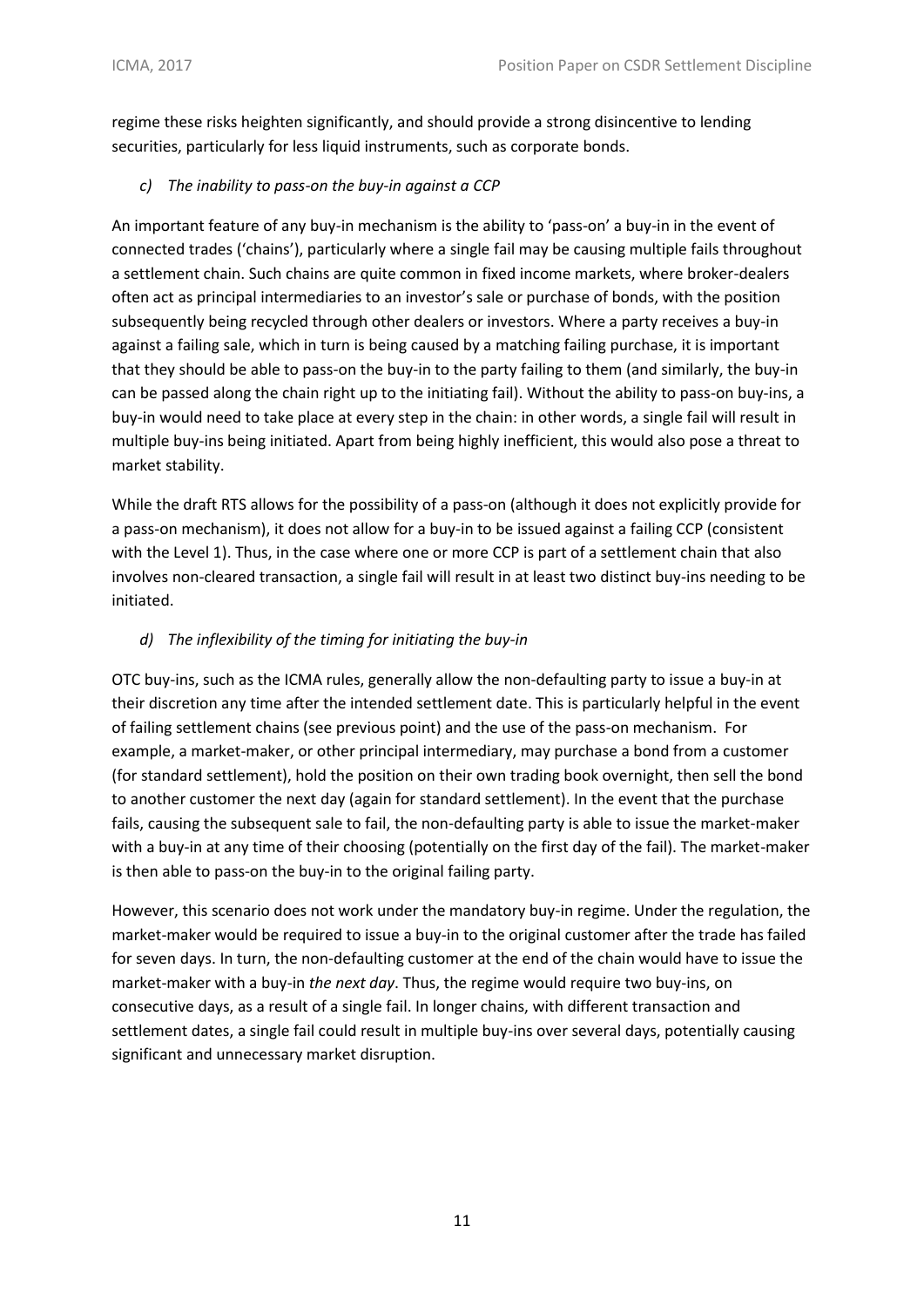regime these risks heighten significantly, and should provide a strong disincentive to lending securities, particularly for less liquid instruments, such as corporate bonds.

# *c) The inability to pass-on the buy-in against a CCP*

An important feature of any buy-in mechanism is the ability to 'pass-on' a buy-in in the event of connected trades ('chains'), particularly where a single fail may be causing multiple fails throughout a settlement chain. Such chains are quite common in fixed income markets, where broker-dealers often act as principal intermediaries to an investor's sale or purchase of bonds, with the position subsequently being recycled through other dealers or investors. Where a party receives a buy-in against a failing sale, which in turn is being caused by a matching failing purchase, it is important that they should be able to pass-on the buy-in to the party failing to them (and similarly, the buy-in can be passed along the chain right up to the initiating fail). Without the ability to pass-on buy-ins, a buy-in would need to take place at every step in the chain: in other words, a single fail will result in multiple buy-ins being initiated. Apart from being highly inefficient, this would also pose a threat to market stability.

While the draft RTS allows for the possibility of a pass-on (although it does not explicitly provide for a pass-on mechanism), it does not allow for a buy-in to be issued against a failing CCP (consistent with the Level 1). Thus, in the case where one or more CCP is part of a settlement chain that also involves non-cleared transaction, a single fail will result in at least two distinct buy-ins needing to be initiated.

# *d) The inflexibility of the timing for initiating the buy-in*

OTC buy-ins, such as the ICMA rules, generally allow the non-defaulting party to issue a buy-in at their discretion any time after the intended settlement date. This is particularly helpful in the event of failing settlement chains (see previous point) and the use of the pass-on mechanism. For example, a market-maker, or other principal intermediary, may purchase a bond from a customer (for standard settlement), hold the position on their own trading book overnight, then sell the bond to another customer the next day (again for standard settlement). In the event that the purchase fails, causing the subsequent sale to fail, the non-defaulting party is able to issue the market-maker with a buy-in at any time of their choosing (potentially on the first day of the fail). The market-maker is then able to pass-on the buy-in to the original failing party.

However, this scenario does not work under the mandatory buy-in regime. Under the regulation, the market-maker would be required to issue a buy-in to the original customer after the trade has failed for seven days. In turn, the non-defaulting customer at the end of the chain would have to issue the market-maker with a buy-in *the next day*. Thus, the regime would require two buy-ins, on consecutive days, as a result of a single fail. In longer chains, with different transaction and settlement dates, a single fail could result in multiple buy-ins over several days, potentially causing significant and unnecessary market disruption.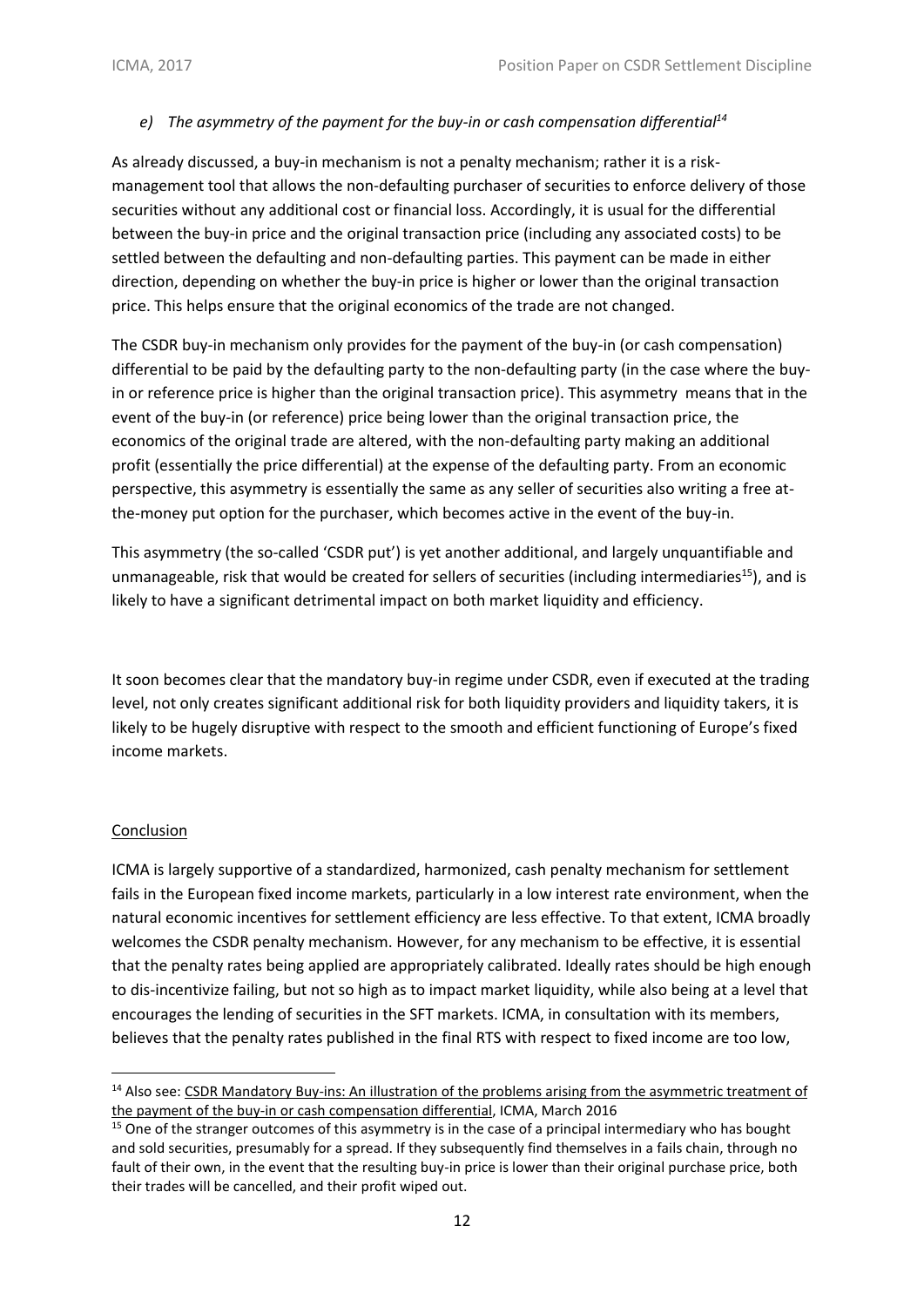# *e) The asymmetry of the payment for the buy-in or cash compensation differential<sup>14</sup>*

As already discussed, a buy-in mechanism is not a penalty mechanism; rather it is a riskmanagement tool that allows the non-defaulting purchaser of securities to enforce delivery of those securities without any additional cost or financial loss. Accordingly, it is usual for the differential between the buy-in price and the original transaction price (including any associated costs) to be settled between the defaulting and non-defaulting parties. This payment can be made in either direction, depending on whether the buy-in price is higher or lower than the original transaction price. This helps ensure that the original economics of the trade are not changed.

The CSDR buy-in mechanism only provides for the payment of the buy-in (or cash compensation) differential to be paid by the defaulting party to the non-defaulting party (in the case where the buyin or reference price is higher than the original transaction price). This asymmetry means that in the event of the buy-in (or reference) price being lower than the original transaction price, the economics of the original trade are altered, with the non-defaulting party making an additional profit (essentially the price differential) at the expense of the defaulting party. From an economic perspective, this asymmetry is essentially the same as any seller of securities also writing a free atthe-money put option for the purchaser, which becomes active in the event of the buy-in.

This asymmetry (the so-called 'CSDR put') is yet another additional, and largely unquantifiable and unmanageable, risk that would be created for sellers of securities (including intermediaries<sup>15</sup>), and is likely to have a significant detrimental impact on both market liquidity and efficiency.

It soon becomes clear that the mandatory buy-in regime under CSDR, even if executed at the trading level, not only creates significant additional risk for both liquidity providers and liquidity takers, it is likely to be hugely disruptive with respect to the smooth and efficient functioning of Europe's fixed income markets.

## Conclusion

**.** 

ICMA is largely supportive of a standardized, harmonized, cash penalty mechanism for settlement fails in the European fixed income markets, particularly in a low interest rate environment, when the natural economic incentives for settlement efficiency are less effective. To that extent, ICMA broadly welcomes the CSDR penalty mechanism. However, for any mechanism to be effective, it is essential that the penalty rates being applied are appropriately calibrated. Ideally rates should be high enough to dis-incentivize failing, but not so high as to impact market liquidity, while also being at a level that encourages the lending of securities in the SFT markets. ICMA, in consultation with its members, believes that the penalty rates published in the final RTS with respect to fixed income are too low,

<sup>&</sup>lt;sup>14</sup> Also see: CSDR Mandatory Buy-ins: An illustration of the problems arising from the [asymmetric](http://www.icmagroup.org/assets/documents/Events/ICMA_CSDR-mandatory-buy-ins_problems-caused-by-asymmetric-payment_February-2016-(Final)2.pdf) treatment of the payment of the buy-in or cash [compensation](http://www.icmagroup.org/assets/documents/Events/ICMA_CSDR-mandatory-buy-ins_problems-caused-by-asymmetric-payment_February-2016-(Final)2.pdf) differential, ICMA, March 2016

 $15$  One of the stranger outcomes of this asymmetry is in the case of a principal intermediary who has bought and sold securities, presumably for a spread. If they subsequently find themselves in a fails chain, through no fault of their own, in the event that the resulting buy-in price is lower than their original purchase price, both their trades will be cancelled, and their profit wiped out.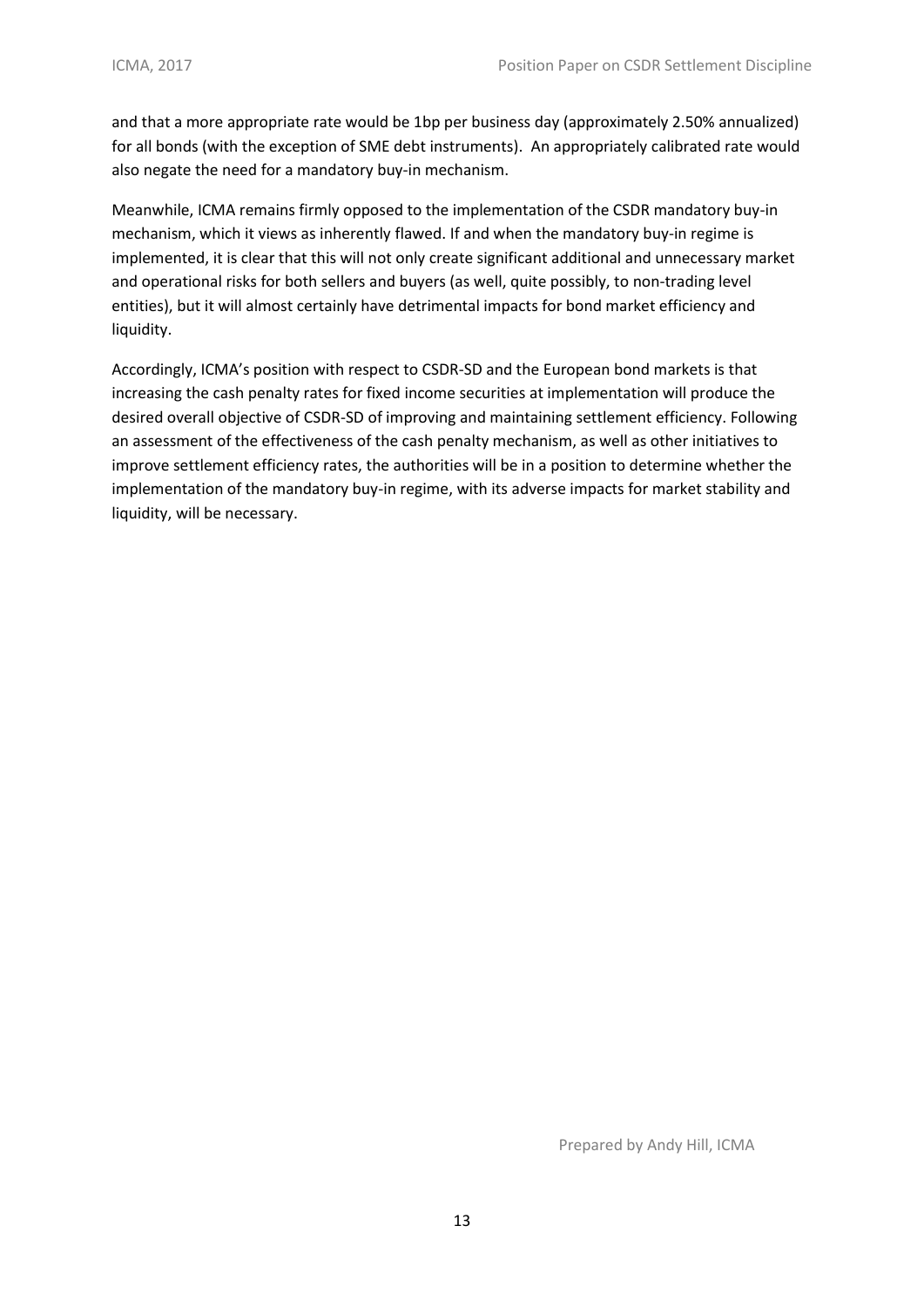and that a more appropriate rate would be 1bp per business day (approximately 2.50% annualized) for all bonds (with the exception of SME debt instruments). An appropriately calibrated rate would also negate the need for a mandatory buy-in mechanism.

Meanwhile, ICMA remains firmly opposed to the implementation of the CSDR mandatory buy-in mechanism, which it views as inherently flawed. If and when the mandatory buy-in regime is implemented, it is clear that this will not only create significant additional and unnecessary market and operational risks for both sellers and buyers (as well, quite possibly, to non-trading level entities), but it will almost certainly have detrimental impacts for bond market efficiency and liquidity.

Accordingly, ICMA's position with respect to CSDR-SD and the European bond markets is that increasing the cash penalty rates for fixed income securities at implementation will produce the desired overall objective of CSDR-SD of improving and maintaining settlement efficiency. Following an assessment of the effectiveness of the cash penalty mechanism, as well as other initiatives to improve settlement efficiency rates, the authorities will be in a position to determine whether the implementation of the mandatory buy-in regime, with its adverse impacts for market stability and liquidity, will be necessary.

Prepared by Andy Hill, ICMA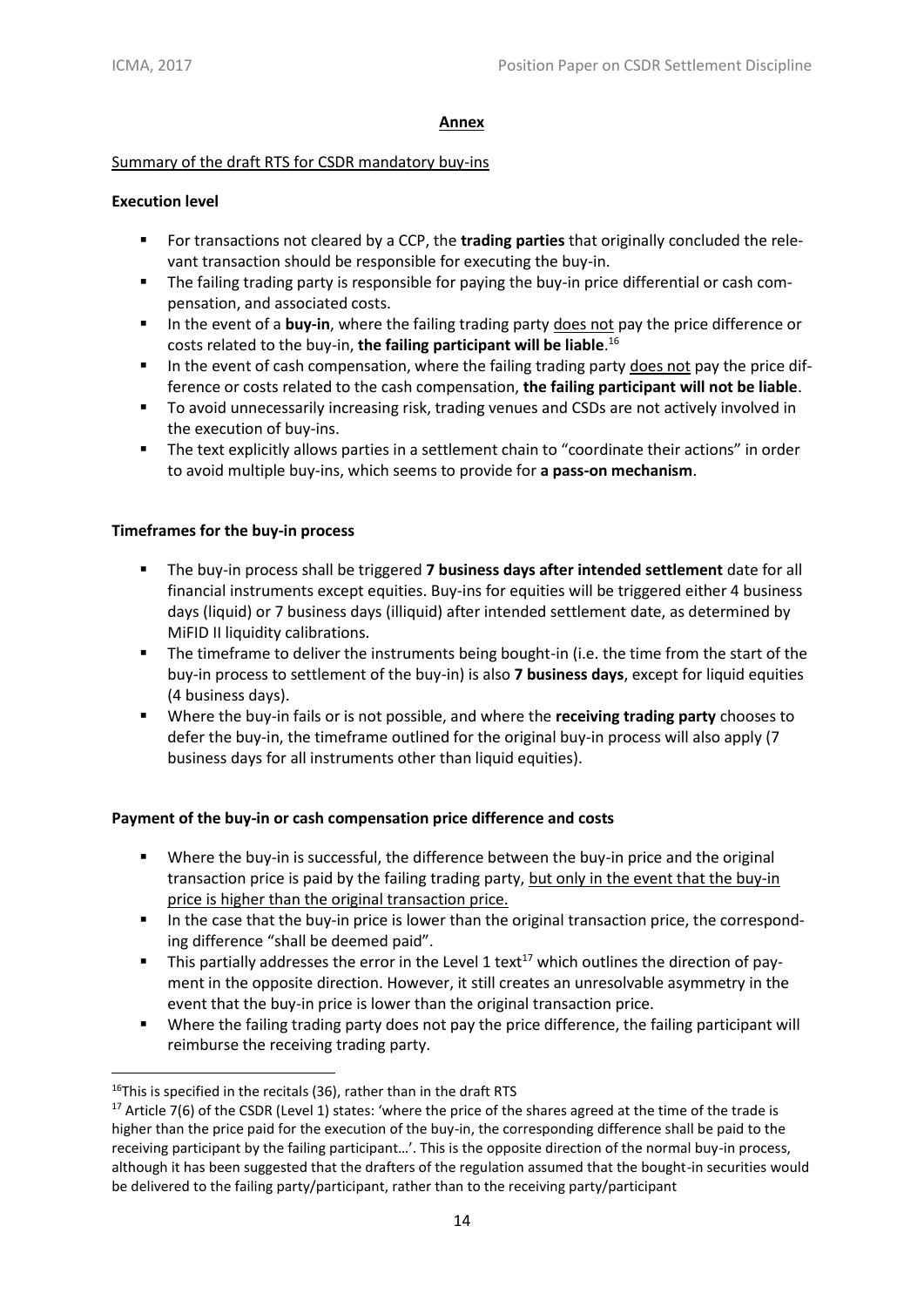#### **Annex**

## Summary of the draft RTS for CSDR mandatory buy-ins

## **Execution level**

- For transactions not cleared by a CCP, the **trading parties** that originally concluded the relevant transaction should be responsible for executing the buy-in.
- The failing trading party is responsible for paying the buy-in price differential or cash compensation, and associated costs.
- In the event of a **buy-in**, where the failing trading party does not pay the price difference or costs related to the buy-in, **the failing participant will be liable**. 16
- **■** In the event of cash compensation, where the failing trading party does not pay the price difference or costs related to the cash compensation, **the failing participant will not be liable**.
- To avoid unnecessarily increasing risk, trading venues and CSDs are not actively involved in the execution of buy-ins.
- The text explicitly allows parties in a settlement chain to "coordinate their actions" in order to avoid multiple buy-ins, which seems to provide for **a pass-on mechanism**.

#### **Timeframes for the buy-in process**

- **EXECT** The buy-in process shall be triggered **7 business days after intended settlement** date for all financial instruments except equities. Buy-ins for equities will be triggered either 4 business days (liquid) or 7 business days (illiquid) after intended settlement date, as determined by MiFID II liquidity calibrations.
- The timeframe to deliver the instruments being bought-in (i.e. the time from the start of the buy-in process to settlement of the buy-in) is also **7 business days**, except for liquid equities (4 business days).
- Where the buy-in fails or is not possible, and where the **receiving trading party** chooses to defer the buy-in, the timeframe outlined for the original buy-in process will also apply (7 business days for all instruments other than liquid equities).

## **Payment of the buy-in or cash compensation price difference and costs**

- Where the buy-in is successful, the difference between the buy-in price and the original transaction price is paid by the failing trading party, but only in the event that the buy-in price is higher than the original transaction price.
- In the case that the buy-in price is lower than the original transaction price, the corresponding difference "shall be deemed paid".
- **E** This partially addresses the error in the Level 1 text<sup>17</sup> which outlines the direction of payment in the opposite direction. However, it still creates an unresolvable asymmetry in the event that the buy-in price is lower than the original transaction price.
- Where the failing trading party does not pay the price difference, the failing participant will reimburse the receiving trading party.

**<sup>.</sup>** <sup>16</sup>This is specified in the recitals (36), rather than in the draft RTS

<sup>&</sup>lt;sup>17</sup> Article 7(6) of the CSDR (Level 1) states: 'where the price of the shares agreed at the time of the trade is higher than the price paid for the execution of the buy-in, the corresponding difference shall be paid to the receiving participant by the failing participant…'. This is the opposite direction of the normal buy-in process, although it has been suggested that the drafters of the regulation assumed that the bought-in securities would be delivered to the failing party/participant, rather than to the receiving party/participant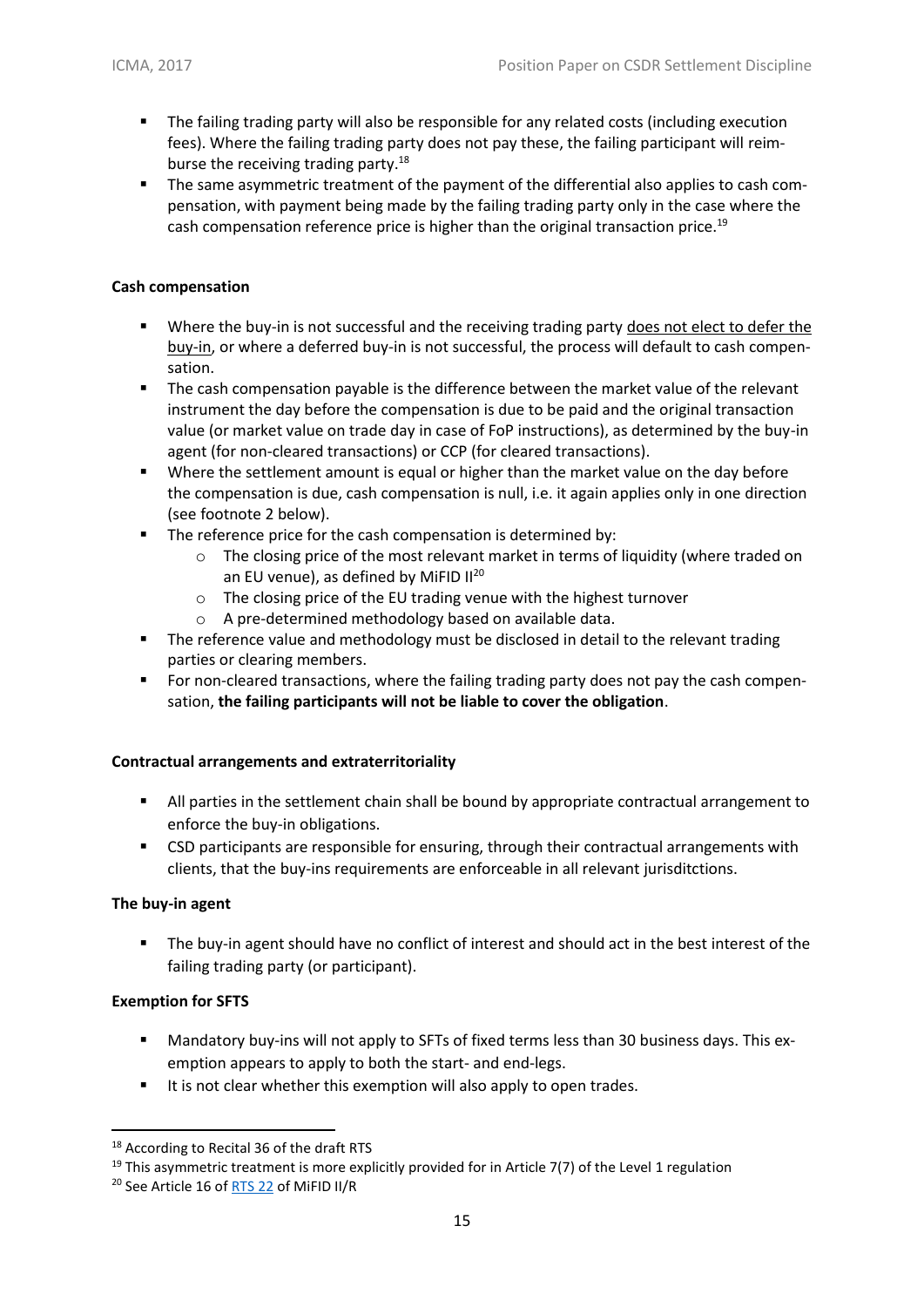- **•** The failing trading party will also be responsible for any related costs (including execution fees). Where the failing trading party does not pay these, the failing participant will reimburse the receiving trading party.<sup>18</sup>
- **•** The same asymmetric treatment of the payment of the differential also applies to cash compensation, with payment being made by the failing trading party only in the case where the cash compensation reference price is higher than the original transaction price.<sup>19</sup>

## **Cash compensation**

- **•** Where the buy-in is not successful and the receiving trading party does not elect to defer the buy-in, or where a deferred buy-in is not successful, the process will default to cash compensation.
- **•** The cash compensation payable is the difference between the market value of the relevant instrument the day before the compensation is due to be paid and the original transaction value (or market value on trade day in case of FoP instructions), as determined by the buy-in agent (for non-cleared transactions) or CCP (for cleared transactions).
- Where the settlement amount is equal or higher than the market value on the day before the compensation is due, cash compensation is null, i.e. it again applies only in one direction (see footnote 2 below).
- The reference price for the cash compensation is determined by:
	- $\circ$  The closing price of the most relevant market in terms of liquidity (where traded on an EU venue), as defined by MiFID II<sup>20</sup>
	- o The closing price of the EU trading venue with the highest turnover
	- o A pre-determined methodology based on available data.
- **•** The reference value and methodology must be disclosed in detail to the relevant trading parties or clearing members.
- **•** For non-cleared transactions, where the failing trading party does not pay the cash compensation, **the failing participants will not be liable to cover the obligation**.

## **Contractual arrangements and extraterritoriality**

- All parties in the settlement chain shall be bound by appropriate contractual arrangement to enforce the buy-in obligations.
- CSD participants are responsible for ensuring, through their contractual arrangements with clients, that the buy-ins requirements are enforceable in all relevant jurisditctions.

## **The buy-in agent**

▪ The buy-in agent should have no conflict of interest and should act in the best interest of the failing trading party (or participant).

## **Exemption for SFTS**

**.** 

- **■** Mandatory buy-ins will not apply to SFTs of fixed terms less than 30 business days. This exemption appears to apply to both the start- and end-legs.
- It is not clear whether this exemption will also apply to open trades.

<sup>18</sup> According to Recital 36 of the draft RTS

<sup>&</sup>lt;sup>19</sup> This asymmetric treatment is more explicitly provided for in Article 7(7) of the Level 1 regulation

<sup>20</sup> See Article 16 of [RTS 22](http://ec.europa.eu/transparency/regdoc/rep/3/2016/EN/3-2016-4733-EN-F1-1.PDF) of MiFID II/R